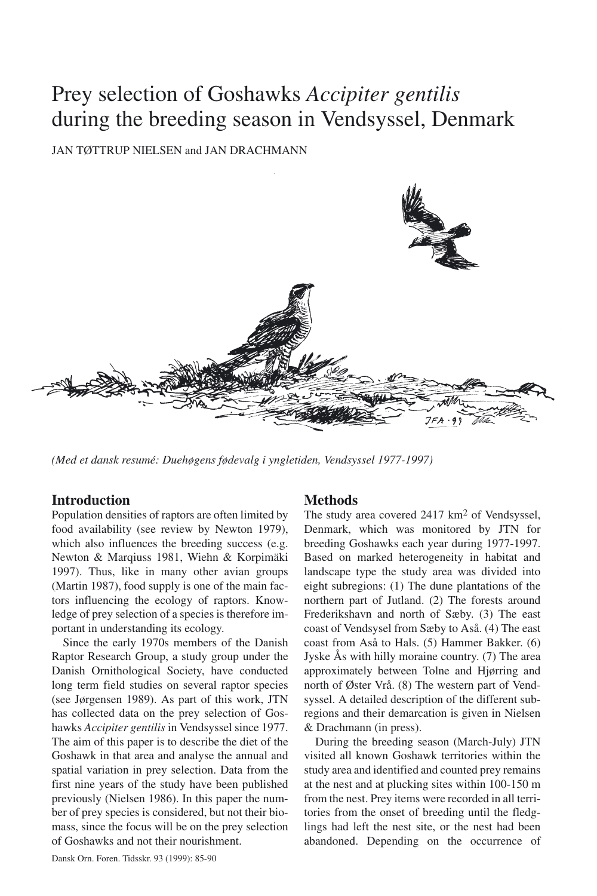# Prey selection of Goshawks *Accipiter gentilis* during the breeding season in Vendsyssel, Denmark

JAN TØTTRUP NIELSEN and JAN DRACHMANN



*(Med et dansk resumé: Duehøgens fødevalg i yngletiden, Vendsyssel 1977-1997)*

## **Introduction**

Population densities of raptors are often limited by food availability (see review by Newton 1979), which also influences the breeding success (e.g. Newton & Marqiuss 1981, Wiehn & Korpimäki 1997). Thus, like in many other avian groups (Martin 1987), food supply is one of the main factors influencing the ecology of raptors. Knowledge of prey selection of a species is therefore important in understanding its ecology.

Since the early 1970s members of the Danish Raptor Research Group, a study group under the Danish Ornithological Society, have conducted long term field studies on several raptor species (see Jørgensen 1989). As part of this work, JTN has collected data on the prey selection of Goshawks *Accipiter gentilis* in Vendsyssel since 1977. The aim of this paper is to describe the diet of the Goshawk in that area and analyse the annual and spatial variation in prey selection. Data from the first nine years of the study have been published previously (Nielsen 1986). In this paper the number of prey species is considered, but not their biomass, since the focus will be on the prey selection of Goshawks and not their nourishment.

## **Methods**

The study area covered 2417 km<sup>2</sup> of Vendsyssel, Denmark, which was monitored by JTN for breeding Goshawks each year during 1977-1997. Based on marked heterogeneity in habitat and landscape type the study area was divided into eight subregions: (1) The dune plantations of the northern part of Jutland. (2) The forests around Frederikshavn and north of Sæby. (3) The east coast of Vendsysel from Sæby to Aså. (4) The east coast from Aså to Hals. (5) Hammer Bakker. (6) Jyske Ås with hilly moraine country. (7) The area approximately between Tolne and Hjørring and north of Øster Vrå. (8) The western part of Vendsyssel. A detailed description of the different subregions and their demarcation is given in Nielsen & Drachmann (in press).

During the breeding season (March-July) JTN visited all known Goshawk territories within the study area and identified and counted prey remains at the nest and at plucking sites within 100-150 m from the nest. Prey items were recorded in all territories from the onset of breeding until the fledglings had left the nest site, or the nest had been abandoned. Depending on the occurrence of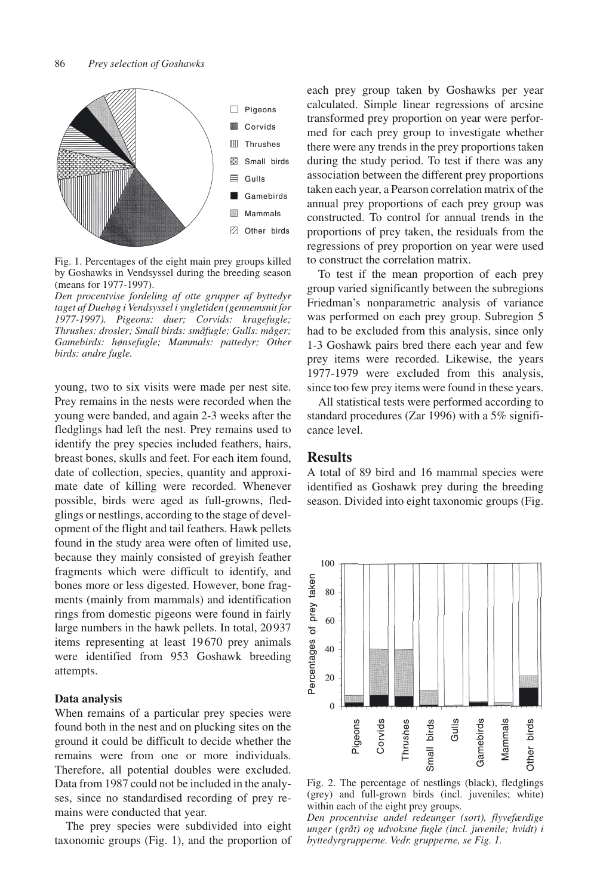

Fig. 1. Percentages of the eight main prey groups killed by Goshawks in Vendsyssel during the breeding season (means for 1977-1997).

*Den procentvise fordeling af otte grupper af byttedyr taget af Duehøg i Vendsyssel i yngletiden (gennemsnit for 1977-1997). Pigeons: duer; Corvids: kragefugle; Thrushes: drosler; Small birds: småfugle; Gulls: måger; Gamebirds: hønsefugle; Mammals: pattedyr; Other birds: andre fugle.*

young, two to six visits were made per nest site. Prey remains in the nests were recorded when the young were banded, and again 2-3 weeks after the fledglings had left the nest. Prey remains used to identify the prey species included feathers, hairs, breast bones, skulls and feet. For each item found, date of collection, species, quantity and approximate date of killing were recorded. Whenever possible, birds were aged as full-growns, fledglings or nestlings, according to the stage of development of the flight and tail feathers. Hawk pellets found in the study area were often of limited use, because they mainly consisted of greyish feather fragments which were difficult to identify, and bones more or less digested. However, bone fragments (mainly from mammals) and identification rings from domestic pigeons were found in fairly large numbers in the hawk pellets. In total, 20 937 items representing at least 19 670 prey animals were identified from 953 Goshawk breeding attempts.

### **Data analysis**

When remains of a particular prey species were found both in the nest and on plucking sites on the ground it could be difficult to decide whether the remains were from one or more individuals. Therefore, all potential doubles were excluded. Data from 1987 could not be included in the analyses, since no standardised recording of prey remains were conducted that year.

The prey species were subdivided into eight taxonomic groups (Fig. 1), and the proportion of each prey group taken by Goshawks per year calculated. Simple linear regressions of arcsine transformed prey proportion on year were performed for each prey group to investigate whether there were any trends in the prey proportions taken during the study period. To test if there was any association between the different prey proportions taken each year, a Pearson correlation matrix of the annual prey proportions of each prey group was constructed. To control for annual trends in the proportions of prey taken, the residuals from the regressions of prey proportion on year were used to construct the correlation matrix.

To test if the mean proportion of each prey group varied significantly between the subregions Friedman's nonparametric analysis of variance was performed on each prey group. Subregion 5 had to be excluded from this analysis, since only 1-3 Goshawk pairs bred there each year and few prey items were recorded. Likewise, the years 1977-1979 were excluded from this analysis, since too few prey items were found in these years.

All statistical tests were performed according to standard procedures (Zar 1996) with a 5% significance level.

## **Results**

A total of 89 bird and 16 mammal species were identified as Goshawk prey during the breeding season. Divided into eight taxonomic groups (Fig.



Fig. 2. The percentage of nestlings (black), fledglings (grey) and full-grown birds (incl. juveniles; white) within each of the eight prey groups.

*Den procentvise andel redeunger (sort), flyvefærdige unger (gråt) og udvoksne fugle (incl. juvenile; hvidt) i byttedyrgrupperne. Vedr. grupperne, se Fig. 1.*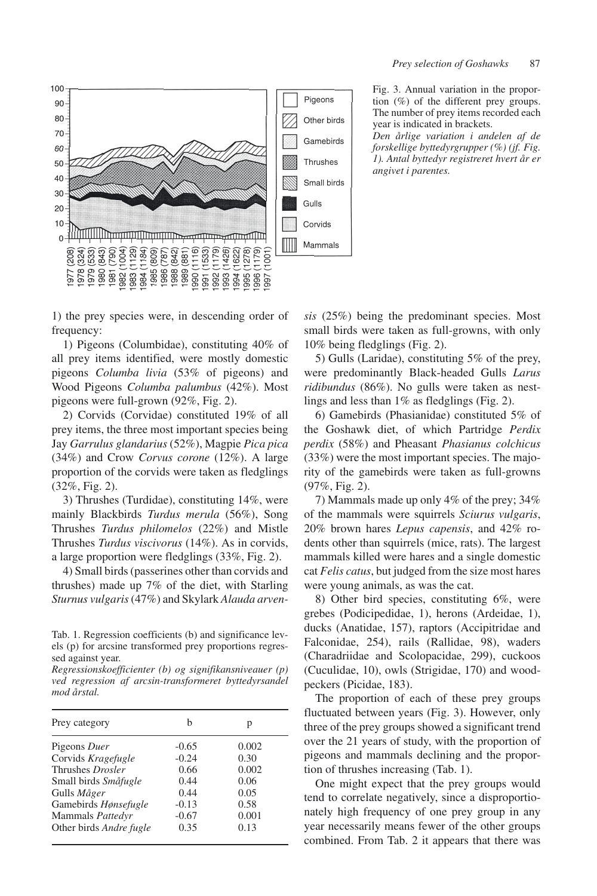



Fig. 3. Annual variation in the proportion (%) of the different prey groups. The number of prey items recorded each year is indicated in brackets.

*Den årlige variation i andelen af de forskellige byttedyrgrupper (%) (jf. Fig. 1). Antal byttedyr registreret hvert år er angivet i parentes.*

1) the prey species were, in descending order of frequency:

1) Pigeons (Columbidae), constituting 40% of all prey items identified, were mostly domestic pigeons *Columba livia* (53% of pigeons) and Wood Pigeons *Columba palumbus* (42%). Most pigeons were full-grown (92%, Fig. 2).

2) Corvids (Corvidae) constituted 19% of all prey items, the three most important species being Jay *Garrulus glandarius* (52%), Magpie *Pica pica* (34%) and Crow *Corvus corone* (12%). A large proportion of the corvids were taken as fledglings (32%, Fig. 2).

3) Thrushes (Turdidae), constituting 14%, were mainly Blackbirds *Turdus merula* (56%), Song Thrushes *Turdus philomelos* (22%) and Mistle Thrushes *Turdus viscivorus* (14%). As in corvids, a large proportion were fledglings (33%, Fig. 2).

4) Small birds (passerines other than corvids and thrushes) made up 7% of the diet, with Starling *Sturnus vulgaris*(47%) and Skylark *Alauda arven-*

Tab. 1. Regression coefficients (b) and significance levels (p) for arcsine transformed prey proportions regressed against year.

*Regressionskoefficienter (b) og signifikansniveauer (p) ved regression af arcsin-transformeret byttedyrsandel mod årstal.*

| Prey category           | h       | р     |
|-------------------------|---------|-------|
| Pigeons Duer            | $-0.65$ | 0.002 |
| Corvids Kragefugle      | $-0.24$ | 0.30  |
| Thrushes Drosler        | 0.66    | 0.002 |
| Small birds Småfugle    | 0.44    | 0.06  |
| Gulls Måger             | 0.44    | 0.05  |
| Gamebirds Hønsefugle    | $-0.13$ | 0.58  |
| Mammals Pattedyr        | $-0.67$ | 0.001 |
| Other birds Andre fugle | 0.35    | 0.13  |

*sis* (25%) being the predominant species. Most small birds were taken as full-growns, with only 10% being fledglings (Fig. 2).

5) Gulls (Laridae), constituting 5% of the prey, were predominantly Black-headed Gulls *Larus ridibundus* (86%). No gulls were taken as nestlings and less than 1% as fledglings (Fig. 2).

6) Gamebirds (Phasianidae) constituted 5% of the Goshawk diet, of which Partridge *Perdix perdix* (58%) and Pheasant *Phasianus colchicus* (33%) were the most important species. The majority of the gamebirds were taken as full-growns (97%, Fig. 2).

7) Mammals made up only 4% of the prey; 34% of the mammals were squirrels *Sciurus vulgaris*, 20% brown hares *Lepus capensis*, and 42% rodents other than squirrels (mice, rats). The largest mammals killed were hares and a single domestic cat *Felis catus*, but judged from the size most hares were young animals, as was the cat.

8) Other bird species, constituting 6%, were grebes (Podicipedidae, 1), herons (Ardeidae, 1), ducks (Anatidae, 157), raptors (Accipitridae and Falconidae, 254), rails (Rallidae, 98), waders (Charadriidae and Scolopacidae, 299), cuckoos (Cuculidae, 10), owls (Strigidae, 170) and woodpeckers (Picidae, 183).

The proportion of each of these prey groups fluctuated between years (Fig. 3). However, only three of the prey groups showed a significant trend over the 21 years of study, with the proportion of pigeons and mammals declining and the proportion of thrushes increasing (Tab. 1).

One might expect that the prey groups would tend to correlate negatively, since a disproportionately high frequency of one prey group in any year necessarily means fewer of the other groups combined. From Tab. 2 it appears that there was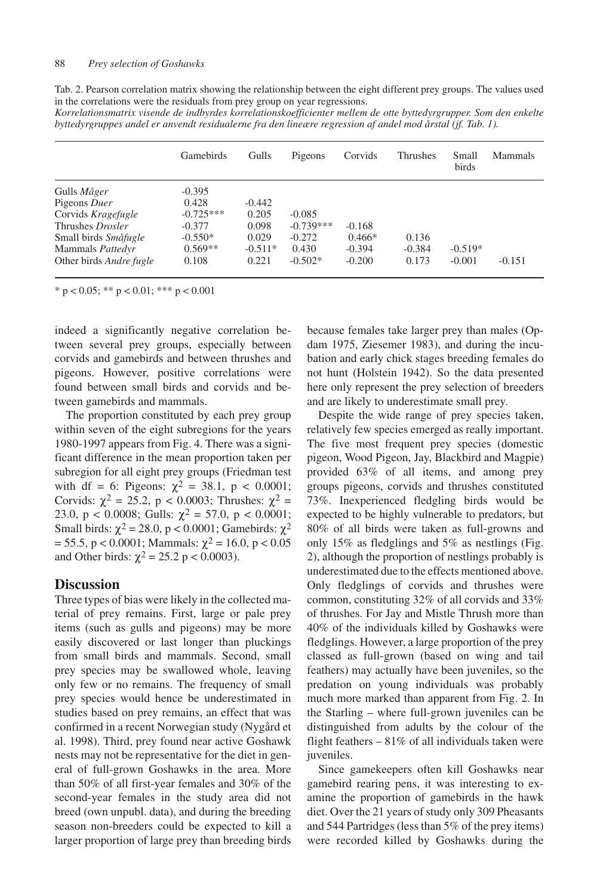| Tab. 2. Pearson correlation matrix showing the relationship between the eight different prey groups. The values used |  |
|----------------------------------------------------------------------------------------------------------------------|--|
| in the correlations were the residuals from prey group on year regressions.                                          |  |

*Korrelationsmatrix visende de indbyrdes korrelationskoefficienter mellem de otte byttedyrgrupper. Som den enkelte byttedyrgruppes andel er anvendt residualerne fra den lineære regression af andel mod årstal (jf. Tab. 1).*

|                         | <b>Gamebirds</b> | Gulls     | Pigeons     | Corvids  | Thrushes | Small<br>birds | <b>Mammals</b> |
|-------------------------|------------------|-----------|-------------|----------|----------|----------------|----------------|
| Gulls <i>Måger</i>      | $-0.395$         |           |             |          |          |                |                |
| Pigeons Duer            | 0.428            | $-0.442$  |             |          |          |                |                |
| Corvids Kragefugle      | $-0.725***$      | 0.205     | $-0.085$    |          |          |                |                |
| Thrushes Drosler        | $-0.377$         | 0.098     | $-0.739***$ | $-0.168$ |          |                |                |
| Small birds Småfugle    | $-0.550*$        | 0.029     | $-0.272$    | $0.466*$ | 0.136    |                |                |
| Mammals Pattedyr        | $0.569**$        | $-0.511*$ | 0.430       | $-0.394$ | $-0.384$ | $-0.519*$      |                |
| Other birds Andre fugle | 0.108            | 0.221     | $-0.502*$   | $-0.200$ | 0.173    | $-0.001$       | $-0.151$       |

\* p < 0.05; \*\* p < 0.01; \*\*\* p < 0.001

indeed a significantly negative correlation between several prey groups, especially between corvids and gamebirds and between thrushes and pigeons. However, positive correlations were found between small birds and corvids and between gamebirds and mammals.

The proportion constituted by each prey group within seven of the eight subregions for the years 1980-1997 appears from Fig. 4. There was a significant difference in the mean proportion taken per subregion for all eight prey groups (Friedman test with df = 6: Pigeons:  $\chi^2$  = 38.1, p < 0.0001; Corvids:  $\chi^2 = 25.2$ , p < 0.0003; Thrushes:  $\chi^2 =$ 23.0, p < 0.0008; Gulls:  $\chi^2 = 57.0$ , p < 0.0001; Small birds:  $\chi^2$  = 28.0, p < 0.0001; Gamebirds:  $\chi^2$  $= 55.5$ , p < 0.0001; Mammals:  $χ² = 16.0$ , p < 0.05 and Other birds:  $\chi^2 = 25.2$  p < 0.0003).

## **Discussion**

Three types of bias were likely in the collected material of prey remains. First, large or pale prey items (such as gulls and pigeons) may be more easily discovered or last longer than pluckings from small birds and mammals. Second, small prey species may be swallowed whole, leaving only few or no remains. The frequency of small prey species would hence be underestimated in studies based on prey remains, an effect that was confirmed in a recent Norwegian study (Nygård et al. 1998). Third, prey found near active Goshawk nests may not be representative for the diet in general of full-grown Goshawks in the area. More than 50% of all first-year females and 30% of the second-year females in the study area did not breed (own unpubl. data), and during the breeding season non-breeders could be expected to kill a larger proportion of large prey than breeding birds

because females take larger prey than males (Opdam 1975, Ziesemer 1983), and during the incubation and early chick stages breeding females do not hunt (Holstein 1942). So the data presented here only represent the prey selection of breeders and are likely to underestimate small prey.

Despite the wide range of prey species taken, relatively few species emerged as really important. The five most frequent prey species (domestic pigeon, Wood Pigeon, Jay, Blackbird and Magpie) provided 63% of all items, and among prey groups pigeons, corvids and thrushes constituted 73%. Inexperienced fledgling birds would be expected to be highly vulnerable to predators, but 80% of all birds were taken as full-growns and only 15% as fledglings and 5% as nestlings (Fig. 2), although the proportion of nestlings probably is underestimated due to the effects mentioned above. Only fledglings of corvids and thrushes were common, constituting 32% of all corvids and 33% of thrushes. For Jay and Mistle Thrush more than 40% of the individuals killed by Goshawks were fledglings. However, a large proportion of the prey classed as full-grown (based on wing and tail feathers) may actually have been juveniles, so the predation on young individuals was probably much more marked than apparent from Fig. 2. In the Starling – where full-grown juveniles can be distinguished from adults by the colour of the flight feathers  $-81\%$  of all individuals taken were juveniles.

Since gamekeepers often kill Goshawks near gamebird rearing pens, it was interesting to examine the proportion of gamebirds in the hawk diet. Over the 21 years of study only 309 Pheasants and 544 Partridges (less than 5% of the prey items) were recorded killed by Goshawks during the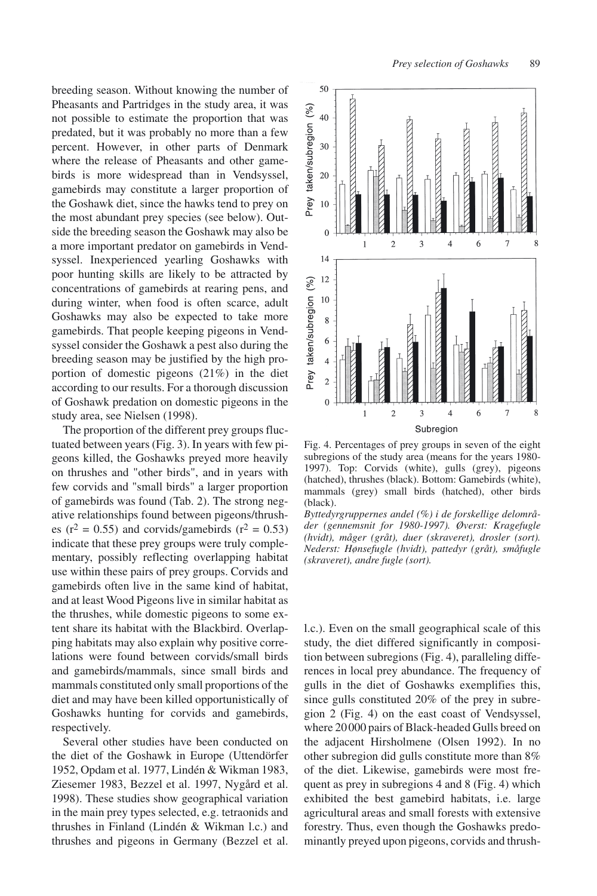breeding season. Without knowing the number of Pheasants and Partridges in the study area, it was not possible to estimate the proportion that was predated, but it was probably no more than a few percent. However, in other parts of Denmark where the release of Pheasants and other gamebirds is more widespread than in Vendsyssel, gamebirds may constitute a larger proportion of the Goshawk diet, since the hawks tend to prey on the most abundant prey species (see below). Outside the breeding season the Goshawk may also be a more important predator on gamebirds in Vendsyssel. Inexperienced yearling Goshawks with poor hunting skills are likely to be attracted by concentrations of gamebirds at rearing pens, and during winter, when food is often scarce, adult Goshawks may also be expected to take more gamebirds. That people keeping pigeons in Vendsyssel consider the Goshawk a pest also during the breeding season may be justified by the high proportion of domestic pigeons (21%) in the diet according to our results. For a thorough discussion of Goshawk predation on domestic pigeons in the study area, see Nielsen (1998).

The proportion of the different prey groups fluctuated between years (Fig. 3). In years with few pigeons killed, the Goshawks preyed more heavily on thrushes and "other birds", and in years with few corvids and "small birds" a larger proportion of gamebirds was found (Tab. 2). The strong negative relationships found between pigeons/thrushes ( $r^2 = 0.55$ ) and corvids/gamebirds ( $r^2 = 0.53$ ) indicate that these prey groups were truly complementary, possibly reflecting overlapping habitat use within these pairs of prey groups. Corvids and gamebirds often live in the same kind of habitat, and at least Wood Pigeons live in similar habitat as the thrushes, while domestic pigeons to some extent share its habitat with the Blackbird. Overlapping habitats may also explain why positive correlations were found between corvids/small birds and gamebirds/mammals, since small birds and mammals constituted only small proportions of the diet and may have been killed opportunistically of Goshawks hunting for corvids and gamebirds, respectively.

Several other studies have been conducted on the diet of the Goshawk in Europe (Uttendörfer 1952, Opdam et al. 1977, Lindén & Wikman 1983, Ziesemer 1983, Bezzel et al. 1997, Nygård et al. 1998). These studies show geographical variation in the main prey types selected, e.g. tetraonids and thrushes in Finland (Lindén & Wikman l.c.) and thrushes and pigeons in Germany (Bezzel et al.



Fig. 4. Percentages of prey groups in seven of the eight subregions of the study area (means for the years 1980- 1997). Top: Corvids (white), gulls (grey), pigeons (hatched), thrushes (black). Bottom: Gamebirds (white), mammals (grey) small birds (hatched), other birds (black).

*Byttedyrgruppernes andel (%) i de forskellige delområder (gennemsnit for 1980-1997). Øverst: Kragefugle (hvidt), måger (gråt), duer (skraveret), drosler (sort). Nederst: Hønsefugle (hvidt), pattedyr (gråt), småfugle (skraveret), andre fugle (sort).*

l.c.). Even on the small geographical scale of this study, the diet differed significantly in composition between subregions (Fig. 4), paralleling differences in local prey abundance. The frequency of gulls in the diet of Goshawks exemplifies this, since gulls constituted 20% of the prey in subregion 2 (Fig. 4) on the east coast of Vendsyssel, where 20 000 pairs of Black-headed Gulls breed on the adjacent Hirsholmene (Olsen 1992). In no other subregion did gulls constitute more than 8% of the diet. Likewise, gamebirds were most frequent as prey in subregions 4 and 8 (Fig. 4) which exhibited the best gamebird habitats, i.e. large agricultural areas and small forests with extensive forestry. Thus, even though the Goshawks predominantly preyed upon pigeons, corvids and thrush